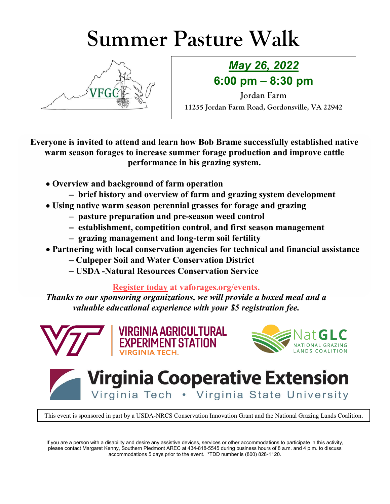## **Summer Pasture Walk**



## *May 26, 2022* **6:00 pm – 8:30 pm**

**Jordan Farm 11255 Jordan Farm Road, Gordonsville, VA 22942**

**Everyone is invited to attend and learn how Bob Brame successfully established native warm season forages to increase summer forage production and improve cattle performance in his grazing system.**

- **Overview and background of farm operation**
	- − **brief history and overview of farm and grazing system development**
- **Using native warm season perennial grasses for forage and grazing**
	- − **pasture preparation and pre-season weed control**
	- − **establishment, competition control, and first season management**
	- − **grazing management and long-term soil fertility**
- **Partnering with local conservation agencies for technical and financial assistance**
	- − **Culpeper Soil and Water Conservation District**
	- − **USDA -Natural Resources Conservation Service**

**Register today at vaforages.org/events.**

*Thanks to our sponsoring organizations, we will provide a boxed meal and a valuable educational experience with your \$5 registration fee.*







**Virginia Cooperative Extension** Virginia Tech . Virginia State University

This event is sponsored in part by a USDA-NRCS Conservation Innovation Grant and the National Grazing Lands Coalition.

If you are a person with a disability and desire any assistive devices, services or other accommodations to participate in this activity, please contact Margaret Kenny, Southern Piedmont AREC at 434-818-5545 during business hours of 8 a.m. and 4 p.m. to discuss accommodations 5 days prior to the event. \*TDD number is (800) 828-1120.